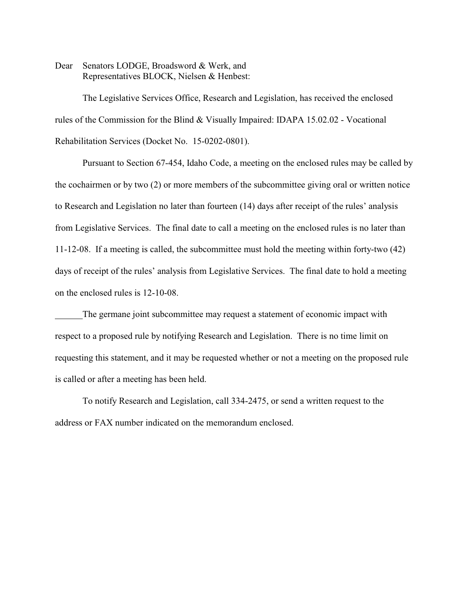Dear Senators LODGE, Broadsword & Werk, and Representatives BLOCK, Nielsen & Henbest:

The Legislative Services Office, Research and Legislation, has received the enclosed rules of the Commission for the Blind & Visually Impaired: IDAPA 15.02.02 - Vocational Rehabilitation Services (Docket No. 15-0202-0801).

Pursuant to Section 67-454, Idaho Code, a meeting on the enclosed rules may be called by the cochairmen or by two (2) or more members of the subcommittee giving oral or written notice to Research and Legislation no later than fourteen (14) days after receipt of the rules' analysis from Legislative Services. The final date to call a meeting on the enclosed rules is no later than 11-12-08. If a meeting is called, the subcommittee must hold the meeting within forty-two (42) days of receipt of the rules' analysis from Legislative Services. The final date to hold a meeting on the enclosed rules is 12-10-08.

The germane joint subcommittee may request a statement of economic impact with respect to a proposed rule by notifying Research and Legislation. There is no time limit on requesting this statement, and it may be requested whether or not a meeting on the proposed rule is called or after a meeting has been held.

To notify Research and Legislation, call 334-2475, or send a written request to the address or FAX number indicated on the memorandum enclosed.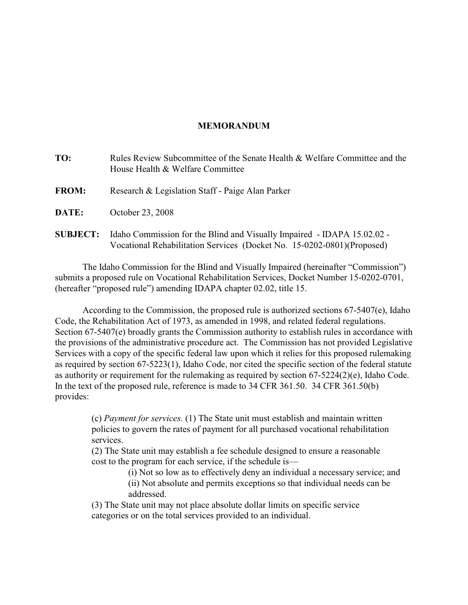# **MEMORANDUM**

| TO:             | Rules Review Subcommittee of the Senate Health & Welfare Committee and the<br>House Health & Welfare Committee                                     |
|-----------------|----------------------------------------------------------------------------------------------------------------------------------------------------|
| <b>FROM:</b>    | Research & Legislation Staff - Paige Alan Parker                                                                                                   |
| <b>DATE:</b>    | October 23, 2008                                                                                                                                   |
| <b>SUBJECT:</b> | Idaho Commission for the Blind and Visually Impaired - IDAPA 15.02.02 -<br>Vocational Rehabilitation Services (Docket No. 15-0202-0801) (Proposed) |

The Idaho Commission for the Blind and Visually Impaired (hereinafter "Commission") submits a proposed rule on Vocational Rehabilitation Services, Docket Number 15-0202-0701, (hereafter "proposed rule") amending IDAPA chapter 02.02, title 15.

According to the Commission, the proposed rule is authorized sections 67-5407(e), Idaho Code, the Rehabilitation Act of 1973, as amended in 1998, and related federal regulations. Section 67-5407(e) broadly grants the Commission authority to establish rules in accordance with the provisions of the administrative procedure act. The Commission has not provided Legislative Services with a copy of the specific federal law upon which it relies for this proposed rulemaking as required by section 67-5223(1), Idaho Code, nor cited the specific section of the federal statute as authority or requirement for the rulemaking as required by section 67-5224(2)(e), Idaho Code. In the text of the proposed rule, reference is made to 34 CFR 361.50. 34 CFR 361.50(b) provides:

(c) *Payment for services.* (1) The State unit must establish and maintain written policies to govern the rates of payment for all purchased vocational rehabilitation services.

(2) The State unit may establish a fee schedule designed to ensure a reasonable cost to the program for each service, if the schedule is—

(i) Not so low as to effectively deny an individual a necessary service; and

(ii) Not absolute and permits exceptions so that individual needs can be addressed.

(3) The State unit may not place absolute dollar limits on specific service categories or on the total services provided to an individual.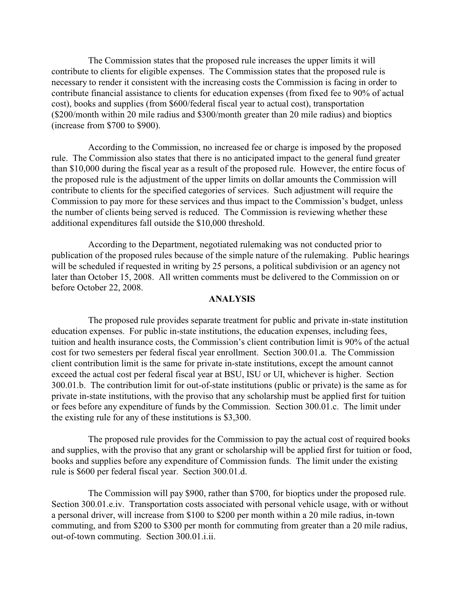The Commission states that the proposed rule increases the upper limits it will contribute to clients for eligible expenses. The Commission states that the proposed rule is necessary to render it consistent with the increasing costs the Commission is facing in order to contribute financial assistance to clients for education expenses (from fixed fee to 90% of actual cost), books and supplies (from \$600/federal fiscal year to actual cost), transportation (\$200/month within 20 mile radius and \$300/month greater than 20 mile radius) and bioptics (increase from \$700 to \$900).

According to the Commission, no increased fee or charge is imposed by the proposed rule. The Commission also states that there is no anticipated impact to the general fund greater than \$10,000 during the fiscal year as a result of the proposed rule. However, the entire focus of the proposed rule is the adjustment of the upper limits on dollar amounts the Commission will contribute to clients for the specified categories of services. Such adjustment will require the Commission to pay more for these services and thus impact to the Commission's budget, unless the number of clients being served is reduced. The Commission is reviewing whether these additional expenditures fall outside the \$10,000 threshold.

According to the Department, negotiated rulemaking was not conducted prior to publication of the proposed rules because of the simple nature of the rulemaking. Public hearings will be scheduled if requested in writing by 25 persons, a political subdivision or an agency not later than October 15, 2008. All written comments must be delivered to the Commission on or before October 22, 2008.

## **ANALYSIS**

The proposed rule provides separate treatment for public and private in-state institution education expenses. For public in-state institutions, the education expenses, including fees, tuition and health insurance costs, the Commission's client contribution limit is 90% of the actual cost for two semesters per federal fiscal year enrollment. Section 300.01.a. The Commission client contribution limit is the same for private in-state institutions, except the amount cannot exceed the actual cost per federal fiscal year at BSU, ISU or UI, whichever is higher. Section 300.01.b. The contribution limit for out-of-state institutions (public or private) is the same as for private in-state institutions, with the proviso that any scholarship must be applied first for tuition or fees before any expenditure of funds by the Commission. Section 300.01.c. The limit under the existing rule for any of these institutions is \$3,300.

The proposed rule provides for the Commission to pay the actual cost of required books and supplies, with the proviso that any grant or scholarship will be applied first for tuition or food, books and supplies before any expenditure of Commission funds. The limit under the existing rule is \$600 per federal fiscal year. Section 300.01.d.

The Commission will pay \$900, rather than \$700, for bioptics under the proposed rule. Section 300.01.e.iv. Transportation costs associated with personal vehicle usage, with or without a personal driver, will increase from \$100 to \$200 per month within a 20 mile radius, in-town commuting, and from \$200 to \$300 per month for commuting from greater than a 20 mile radius, out-of-town commuting. Section 300.01.i.ii.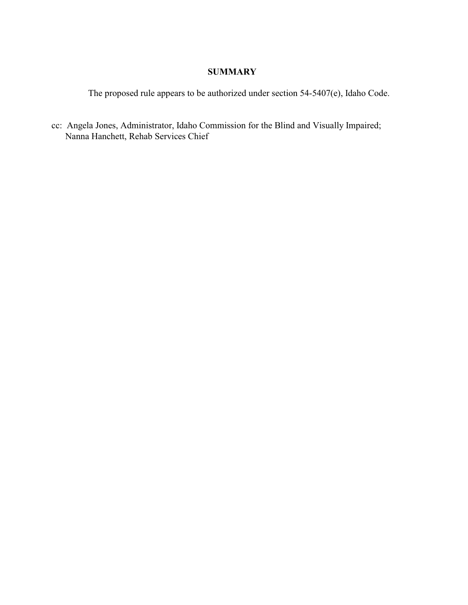# **SUMMARY**

The proposed rule appears to be authorized under section 54-5407(e), Idaho Code.

cc: Angela Jones, Administrator, Idaho Commission for the Blind and Visually Impaired; Nanna Hanchett, Rehab Services Chief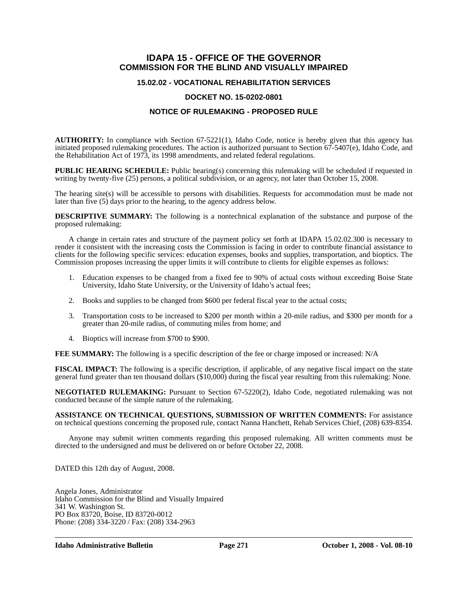## **IDAPA 15 - OFFICE OF THE GOVERNOR COMMISSION FOR THE BLIND AND VISUALLY IMPAIRED**

### **15.02.02 - VOCATIONAL REHABILITATION SERVICES**

### **DOCKET NO. 15-0202-0801**

### **NOTICE OF RULEMAKING - PROPOSED RULE**

**AUTHORITY:** In compliance with Section 67-5221(1), Idaho Code, notice is hereby given that this agency has initiated proposed rulemaking procedures. The action is authorized pursuant to Section 67-5407(e), Idaho Code, and the Rehabilitation Act of 1973, its 1998 amendments, and related federal regulations.

**PUBLIC HEARING SCHEDULE:** Public hearing(s) concerning this rulemaking will be scheduled if requested in writing by twenty-five (25) persons, a political subdivision, or an agency, not later than October 15, 2008.

The hearing site(s) will be accessible to persons with disabilities. Requests for accommodation must be made not later than five (5) days prior to the hearing, to the agency address below.

**DESCRIPTIVE SUMMARY:** The following is a nontechnical explanation of the substance and purpose of the proposed rulemaking:

A change in certain rates and structure of the payment policy set forth at IDAPA 15.02.02.300 is necessary to render it consistent with the increasing costs the Commission is facing in order to contribute financial assistance to clients for the following specific services: education expenses, books and supplies, transportation, and bioptics. The Commission proposes increasing the upper limits it will contribute to clients for eligible expenses as follows:

- 1. Education expenses to be changed from a fixed fee to 90% of actual costs without exceeding Boise State University, Idaho State University, or the University of Idaho's actual fees;
- 2. Books and supplies to be changed from \$600 per federal fiscal year to the actual costs;
- 3. Transportation costs to be increased to \$200 per month within a 20-mile radius, and \$300 per month for a greater than 20-mile radius, of commuting miles from home; and
- 4. Bioptics will increase from \$700 to \$900.

**FEE SUMMARY:** The following is a specific description of the fee or charge imposed or increased: N/A

**FISCAL IMPACT:** The following is a specific description, if applicable, of any negative fiscal impact on the state general fund greater than ten thousand dollars (\$10,000) during the fiscal year resulting from this rulemaking: None.

**NEGOTIATED RULEMAKING:** Pursuant to Section 67-5220(2), Idaho Code, negotiated rulemaking was not conducted because of the simple nature of the rulemaking.

**ASSISTANCE ON TECHNICAL QUESTIONS, SUBMISSION OF WRITTEN COMMENTS:** For assistance on technical questions concerning the proposed rule, contact Nanna Hanchett, Rehab Services Chief, (208) 639-8354.

Anyone may submit written comments regarding this proposed rulemaking. All written comments must be directed to the undersigned and must be delivered on or before October 22, 2008.

DATED this 12th day of August, 2008.

Angela Jones, Administrator Idaho Commission for the Blind and Visually Impaired 341 W. Washington St. PO Box 83720, Boise, ID 83720-0012 Phone: (208) 334-3220 / Fax: (208) 334-2963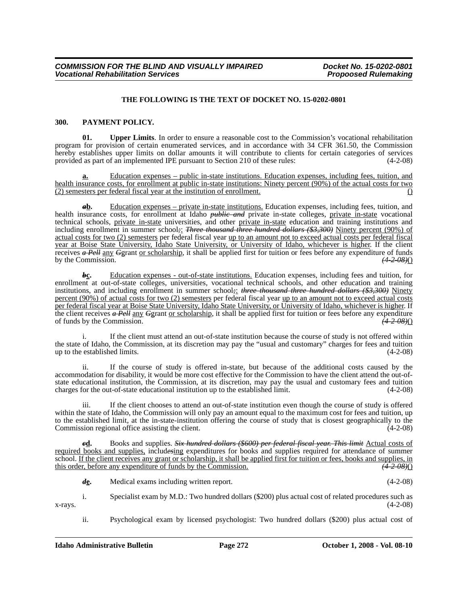#### **THE FOLLOWING IS THE TEXT OF DOCKET NO. 15-0202-0801**

#### **300. PAYMENT POLICY.**

**01. Upper Limits**. In order to ensure a reasonable cost to the Commission's vocational rehabilitation program for provision of certain enumerated services, and in accordance with 34 CFR 361.50, the Commission hereby establishes upper limits on dollar amounts it will contribute to clients for certain categories of services provided as part of an implemented IPE pursuant to Section 210 of these rules: (4-2-08)

**a.** Education expenses – public in-state institutions. Education expenses, including fees, tuition, and health insurance costs, for enrollment at public in-state institutions: Ninety percent (90%) of the actual costs for two (2) semesters per federal fiscal year at the institution of enrollment. ()

*a***b.** Education expenses – private in-state institutions. Education expenses, including fees, tuition, and health insurance costs, for enrollment at Idaho *public and* private in-state colleges, private in-state vocational technical schools, private in-state universities, and other private in-state education and training institutions and including enrollment in summer school*;*: *Three thousand three hundred dollars (\$3,300)* Ninety percent (90%) of actual costs for two (2) semesters per federal fiscal year up to an amount not to exceed actual costs per federal fiscal year at Boise State University, Idaho State University, or University of Idaho, whichever is higher. If the client receives *a Pell* any *G*grant <u>or scholarship</u>, it shall be applied first for tuition or fees before any expenditure of funds by the Commission. (4.2.08)() by the Commission.

*b***<sub>C</sub>.** Education expenses - out-of-state institutions. Education expenses, including fees and tuition, for enrollment at out-of-state colleges, universities, vocational technical schools, and other education and training institutions, and including enrollment in summer school; *three thousand three hundred dollars (\$3,300)* Ninety percent (90%) of actual costs for two (2) semesters per federal fiscal year up to an amount not to exceed actual costs per federal fiscal year at Boise State University, Idaho State University, or University of Idaho, whichever is higher. If the client receives *a Pell* any *G*grant <u>or scholarship</u>, it shall be applied first for tuition or fees before any expenditure of funds by the Commission. of funds by the Commission. *(4-2-08)*()

If the client must attend an out-of-state institution because the course of study is not offered within the state of Idaho, the Commission, at its discretion may pay the "usual and customary" charges for fees and tuition<br>up to the established limits. (4-2-08) up to the established limits.

ii. If the course of study is offered in-state, but because of the additional costs caused by the accommodation for disability, it would be more cost effective for the Commission to have the client attend the out-ofstate educational institution, the Commission, at its discretion, may pay the usual and customary fees and tuition charges for the out-of-state educational institution up to the established limit. (4-2-08) charges for the out-of-state educational institution up to the established limit.

iii. If the client chooses to attend an out-of-state institution even though the course of study is offered within the state of Idaho, the Commission will only pay an amount equal to the maximum cost for fees and tuition, up to the established limit, at the in-state-institution offering the course of study that is closest geographically to the Commission regional office assisting the client. (4-2-08) Commission regional office assisting the client.

*c***d.** Books and supplies. *Six hundred dollars (\$600) per federal fiscal year. This limit* Actual costs of required books and supplies, includ*es*ing expenditures for books and supplies required for attendance of summer school. If the client receives any grant or scholarship, it shall be applied first for tuition or fees, books and supplies, in this order, before any expenditure of funds by the Commission.  $\left(42,08\right)$ this order, before any expenditure of funds by the Commission.

*d***e.** Medical exams including written report. (4-2-08)

i. Specialist exam by M.D.: Two hundred dollars (\$200) plus actual cost of related procedures such as  $x$ -rays.  $(4-2-08)$ 

ii. Psychological exam by licensed psychologist: Two hundred dollars (\$200) plus actual cost of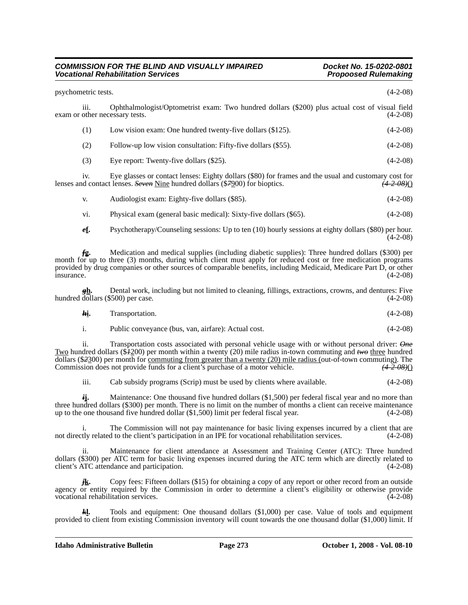#### *COMMISSION FOR THE BLIND AND VISUALLY IMPAIRED Docket No. 15-0202-0801*<br>Vocational Rehabilitation Services de and the service of the Propoosed Rulemaking *Vocational Rehabilitation Services*

 $(4-2-08)$ 

| psychometric tests.                    |                                                                                                                                                                                      | $(4-2-08)$             |
|----------------------------------------|--------------------------------------------------------------------------------------------------------------------------------------------------------------------------------------|------------------------|
| 111.<br>exam or other necessary tests. | Ophthalmologist/Optometrist exam: Two hundred dollars (\$200) plus actual cost of visual field                                                                                       | $(4-2-08)$             |
| (1)                                    | Low vision exam: One hundred twenty-five dollars (\$125).                                                                                                                            | $(4-2-08)$             |
| (2)                                    | Follow-up low vision consultation: Fifty-five dollars (\$55).                                                                                                                        | $(4-2-08)$             |
| (3)                                    | Eye report: Twenty-five dollars (\$25).                                                                                                                                              | $(4-2-08)$             |
| 1V.                                    | Eye glasses or contact lenses: Eighty dollars (\$80) for frames and the usual and customary cost for<br>lenses and contact lenses. Seven Nine hundred dollars (\$7900) for bioptics. | <del>(4-2-08)</del> () |
| V.                                     | Audiologist exam: Eighty-five dollars (\$85).                                                                                                                                        | $(4-2-08)$             |
| vi.                                    | Physical exam (general basic medical): Sixty-five dollars (\$65).                                                                                                                    | $(4-2-08)$             |
| ef.                                    | Psychotherapy/Counseling sessions: Up to ten (10) hourly sessions at eighty dollars (\$80) per hour.                                                                                 |                        |

*f***g.** Medication and medical supplies (including diabetic supplies): Three hundred dollars (\$300) per month for up to three (3) months, during which client must apply for reduced cost or free medication programs provided by drug companies or other sources of comparable benefits, including Medicaid, Medicare Part D, or other

*g***h.** Dental work, including but not limited to cleaning, fillings, extractions, crowns, and dentures: Five dollars (\$500) per case. (4-2-08) hundred dollars (\$500) per case.

insurance. (4-2-08)

| ki. | Transportation. | $(4-2-08)$ |  |
|-----|-----------------|------------|--|
|     |                 |            |  |

i. Public conveyance (bus, van, airfare): Actual cost. (4-2-08)

ii. Transportation costs associated with personal vehicle usage with or without personal driver: *One* Two hundred dollars (\$*1*200) per month within a twenty (20) mile radius in-town commuting and *two* three hundred dollars (\$*2*300) per month for commuting from greater than a twenty (20) mile radius (out-of-town commuting). The Commission does not provide funds for a client's purchase of a motor vehicle. *(4-2-08)*()

iii. Cab subsidy programs (Scrip) must be used by clients where available. (4-2-08)

*i***j.** Maintenance: One thousand five hundred dollars (\$1,500) per federal fiscal year and no more than three hundred dollars (\$300) per month. There is no limit on the number of months a client can receive maintenance up to the one thousand five hundred dollar (\$1,500) limit per federal fiscal year. (4-2-08)

i. The Commission will not pay maintenance for basic living expenses incurred by a client that are thy related to the client's participation in an IPE for vocational rehabilitation services. (4-2-08) not directly related to the client's participation in an IPE for vocational rehabilitation services.

ii. Maintenance for client attendance at Assessment and Training Center (ATC): Three hundred dollars (\$300) per ATC term for basic living expenses incurred during the ATC term which are directly related to client's ATC attendance and participation. (4-2-08) client's ATC attendance and participation.

*j***k.** Copy fees: Fifteen dollars (\$15) for obtaining a copy of any report or other record from an outside agency or entity required by the Commission in order to determine a client's eligibility or otherwise provide vocational rehabilitation services. (4-2-08)

*k***l.** Tools and equipment: One thousand dollars (\$1,000) per case. Value of tools and equipment provided to client from existing Commission inventory will count towards the one thousand dollar (\$1,000) limit. If